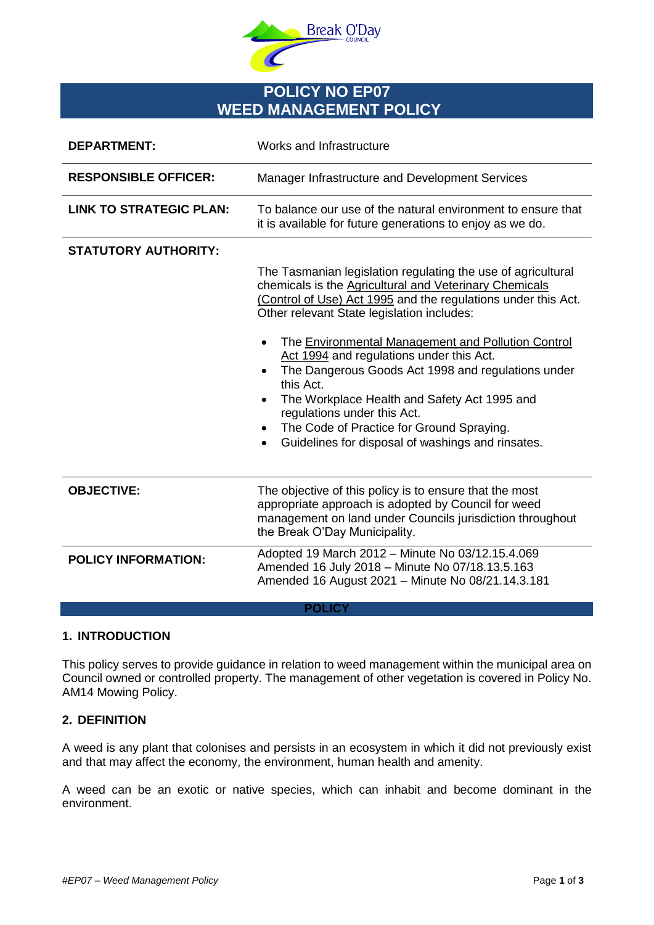

# **POLICY NO EP07 WEED MANAGEMENT POLICY**

| <b>DEPARTMENT:</b>             | Works and Infrastructure                                                                                                                                                                                                                                                                                                                                                                                                                                                                                                                                                                                              |
|--------------------------------|-----------------------------------------------------------------------------------------------------------------------------------------------------------------------------------------------------------------------------------------------------------------------------------------------------------------------------------------------------------------------------------------------------------------------------------------------------------------------------------------------------------------------------------------------------------------------------------------------------------------------|
| <b>RESPONSIBLE OFFICER:</b>    | Manager Infrastructure and Development Services                                                                                                                                                                                                                                                                                                                                                                                                                                                                                                                                                                       |
| <b>LINK TO STRATEGIC PLAN:</b> | To balance our use of the natural environment to ensure that<br>it is available for future generations to enjoy as we do.                                                                                                                                                                                                                                                                                                                                                                                                                                                                                             |
| <b>STATUTORY AUTHORITY:</b>    |                                                                                                                                                                                                                                                                                                                                                                                                                                                                                                                                                                                                                       |
|                                | The Tasmanian legislation regulating the use of agricultural<br>chemicals is the Agricultural and Veterinary Chemicals<br>(Control of Use) Act 1995 and the regulations under this Act.<br>Other relevant State legislation includes:<br>The Environmental Management and Pollution Control<br>$\bullet$<br>Act 1994 and regulations under this Act.<br>The Dangerous Goods Act 1998 and regulations under<br>this Act.<br>The Workplace Health and Safety Act 1995 and<br>$\bullet$<br>regulations under this Act.<br>The Code of Practice for Ground Spraying.<br>Guidelines for disposal of washings and rinsates. |
| <b>OBJECTIVE:</b>              | The objective of this policy is to ensure that the most<br>appropriate approach is adopted by Council for weed<br>management on land under Councils jurisdiction throughout<br>the Break O'Day Municipality.                                                                                                                                                                                                                                                                                                                                                                                                          |
| <b>POLICY INFORMATION:</b>     | Adopted 19 March 2012 - Minute No 03/12.15.4.069<br>Amended 16 July 2018 - Minute No 07/18.13.5.163<br>Amended 16 August 2021 - Minute No 08/21.14.3.181                                                                                                                                                                                                                                                                                                                                                                                                                                                              |
| <b>POLICY</b>                  |                                                                                                                                                                                                                                                                                                                                                                                                                                                                                                                                                                                                                       |

# **1. INTRODUCTION**

This policy serves to provide guidance in relation to weed management within the municipal area on Council owned or controlled property. The management of other vegetation is covered in Policy No. AM14 Mowing Policy.

# **2. DEFINITION**

A weed is any plant that colonises and persists in an ecosystem in which it did not previously exist and that may affect the economy, the environment, human health and amenity.

A weed can be an exotic or native species, which can inhabit and become dominant in the environment.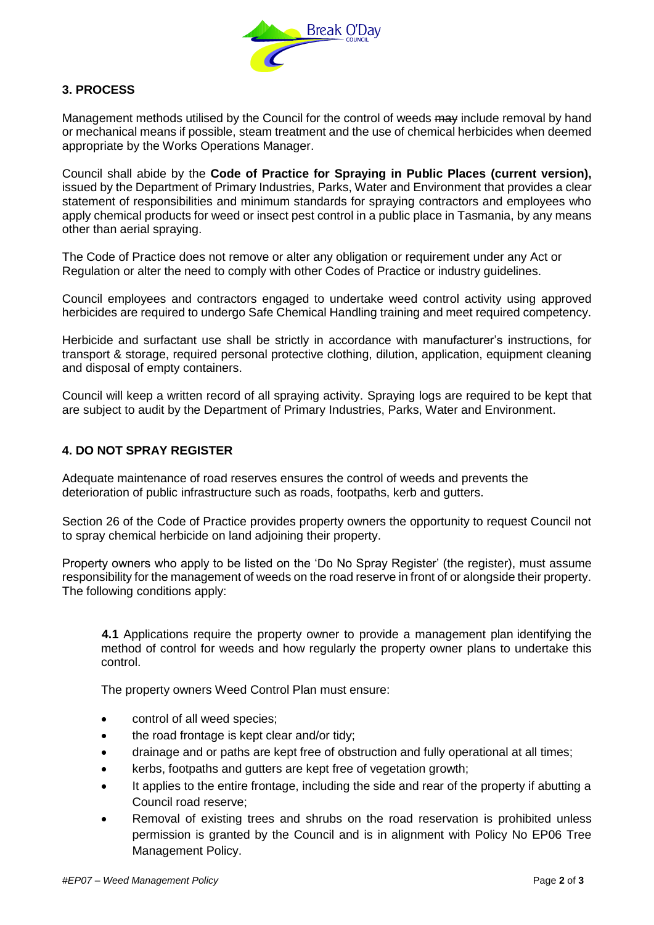

# **3. PROCESS**

Management methods utilised by the Council for the control of weeds may include removal by hand or mechanical means if possible, steam treatment and the use of chemical herbicides when deemed appropriate by the Works Operations Manager.

Council shall abide by the **Code of Practice for Spraying in Public Places (current version),**  issued by the Department of Primary Industries, Parks, Water and Environment that provides a clear statement of responsibilities and minimum standards for spraying contractors and employees who apply chemical products for weed or insect pest control in a public place in Tasmania, by any means other than aerial spraying.

The Code of Practice does not remove or alter any obligation or requirement under any Act or Regulation or alter the need to comply with other Codes of Practice or industry guidelines.

Council employees and contractors engaged to undertake weed control activity using approved herbicides are required to undergo Safe Chemical Handling training and meet required competency.

Herbicide and surfactant use shall be strictly in accordance with manufacturer's instructions, for transport & storage, required personal protective clothing, dilution, application, equipment cleaning and disposal of empty containers.

Council will keep a written record of all spraying activity. Spraying logs are required to be kept that are subject to audit by the Department of Primary Industries, Parks, Water and Environment.

# **4. DO NOT SPRAY REGISTER**

Adequate maintenance of road reserves ensures the control of weeds and prevents the deterioration of public infrastructure such as roads, footpaths, kerb and gutters.

Section 26 of the Code of Practice provides property owners the opportunity to request Council not to spray chemical herbicide on land adjoining their property.

Property owners who apply to be listed on the 'Do No Spray Register' (the register), must assume responsibility for the management of weeds on the road reserve in front of or alongside their property. The following conditions apply:

**4.1** Applications require the property owner to provide a management plan identifying the method of control for weeds and how regularly the property owner plans to undertake this control.

The property owners Weed Control Plan must ensure:

- control of all weed species;
- the road frontage is kept clear and/or tidy;
- drainage and or paths are kept free of obstruction and fully operational at all times;
- kerbs, footpaths and gutters are kept free of vegetation growth;
- It applies to the entire frontage, including the side and rear of the property if abutting a Council road reserve;
- Removal of existing trees and shrubs on the road reservation is prohibited unless permission is granted by the Council and is in alignment with Policy No EP06 Tree Management Policy.